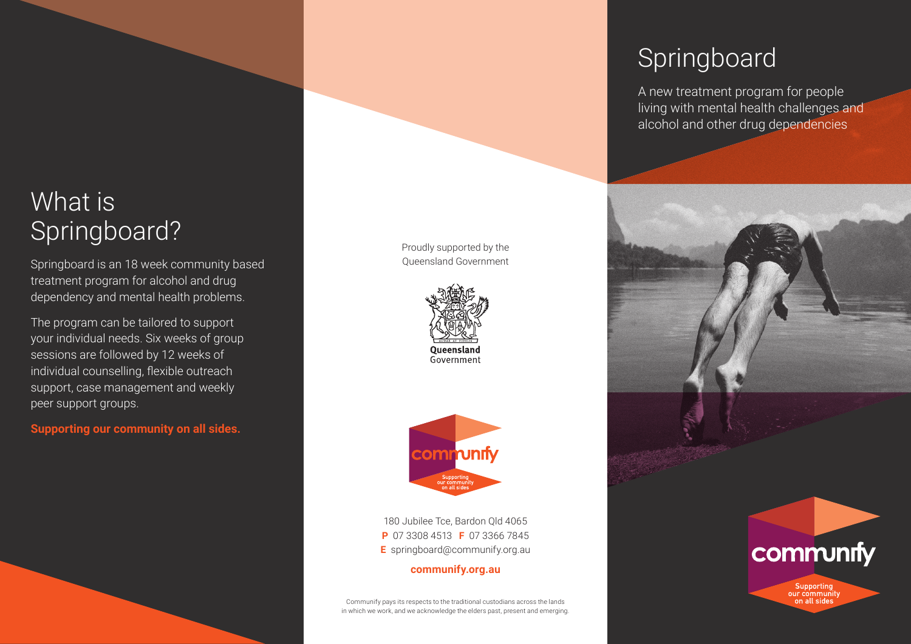# What is Springboard?

Springboard is an 18 week community based treatment program for alcohol and drug dependency and mental health problems.

The program can be tailored to support your individual needs. Six weeks of group sessions are followed by 12 weeks of individual counselling, flexible outreach support, case management and weekly peer support groups.

**Supporting our community on all sides.**

Proudly supported by the Queensland Government





180 Jubilee Tce, Bardon Qld 4065 **P** 07 3308 4513 **F** 07 3366 7845 **E** springboard@communify.org.au

**communify.org.au**

Communify pays its respects to the traditional custodians across the lands in which we work, and we acknowledge the elders past, present and emerging.

# Springboard

A new treatment program for people living with mental health challenges and alcohol and other drug dependencies